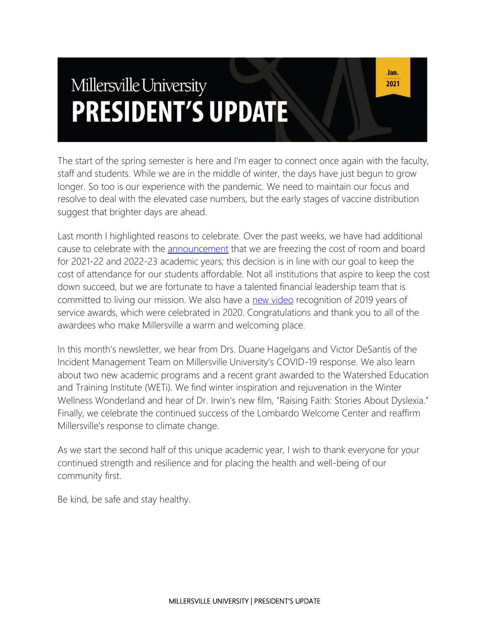# Millersville University **PRESIDENT'S UPDATE**

The start of the spring semester is here and I'm eager to connect once again with the faculty, staff and students. While we are in the middle of winter, the days have just begun to grow longer. So too is our experience with the pandemic. We need to maintain our focus and resolve to deal with the elevated case numbers, but the early stages of vaccine distribution suggest that brighter days are ahead.

Last month I highlighted reasons to celebrate. Over the past weeks, we have had additional cause to celebrate with the **[announcement](https://blogs.millersville.edu/news/2020/12/10/no-increase-in-room-and-board/)** that we are freezing the cost of room and board for 2021-22 and 2022-23 academic years; this decision is in line with our goal to keep the cost of attendance for our students affordable. Not all institutions that aspire to keep the cost down succeed, but we are fortunate to have a talented financial leadership team that is committed to living our mission. We also have a [new video](https://millersville.mediaspace.kaltura.com/media/1_lbwje6zt) recognition of 2019 years of service awards, which were celebrated in 2020. Congratulations and thank you to all of the awardees who make Millersville a warm and welcoming place.

In this month's newsletter, we hear from Drs. Duane Hagelgans and Victor DeSantis of the Incident Management Team on Millersville University's COVID-19 response. We also learn about two new academic programs and a recent grant awarded to the Watershed Education and Training Institute (WETi). We find winter inspiration and rejuvenation in the Winter Wellness Wonderland and hear of Dr. Irwin's new film, "Raising Faith: Stories About Dyslexia." Finally, we celebrate the continued success of the Lombardo Welcome Center and reaffirm Millersville's response to climate change.

As we start the second half of this unique academic year, I wish to thank everyone for your continued strength and resilience and for placing the health and well-being of our community first.

Be kind, be safe and stay healthy.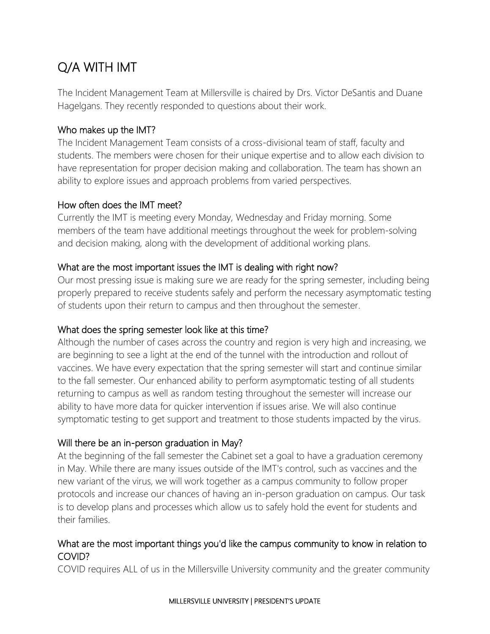# Q/A WITH IMT

The Incident Management Team at Millersville is chaired by Drs. Victor DeSantis and Duane Hagelgans. They recently responded to questions about their work.

#### Who makes up the IMT?

The Incident Management Team consists of a cross-divisional team of staff, faculty and students. The members were chosen for their unique expertise and to allow each division to have representation for proper decision making and collaboration. The team has shown an ability to explore issues and approach problems from varied perspectives.

#### How often does the IMT meet?

Currently the IMT is meeting every Monday, Wednesday and Friday morning. Some members of the team have additional meetings throughout the week for problem-solving and decision making, along with the development of additional working plans.

#### What are the most important issues the IMT is dealing with right now?

Our most pressing issue is making sure we are ready for the spring semester, including being properly prepared to receive students safely and perform the necessary asymptomatic testing of students upon their return to campus and then throughout the semester.

#### What does the spring semester look like at this time?

Although the number of cases across the country and region is very high and increasing, we are beginning to see a light at the end of the tunnel with the introduction and rollout of vaccines. We have every expectation that the spring semester will start and continue similar to the fall semester. Our enhanced ability to perform asymptomatic testing of all students returning to campus as well as random testing throughout the semester will increase our ability to have more data for quicker intervention if issues arise. We will also continue symptomatic testing to get support and treatment to those students impacted by the virus.

#### Will there be an in-person graduation in May?

At the beginning of the fall semester the Cabinet set a goal to have a graduation ceremony in May. While there are many issues outside of the IMT's control, such as vaccines and the new variant of the virus, we will work together as a campus community to follow proper protocols and increase our chances of having an in-person graduation on campus. Our task is to develop plans and processes which allow us to safely hold the event for students and their families.

#### What are the most important things you'd like the campus community to know in relation to COVID?

COVID requires ALL of us in the Millersville University community and the greater community

#### MILLERSVILLE UNIVERSITY | PRESIDENT'S UPDATE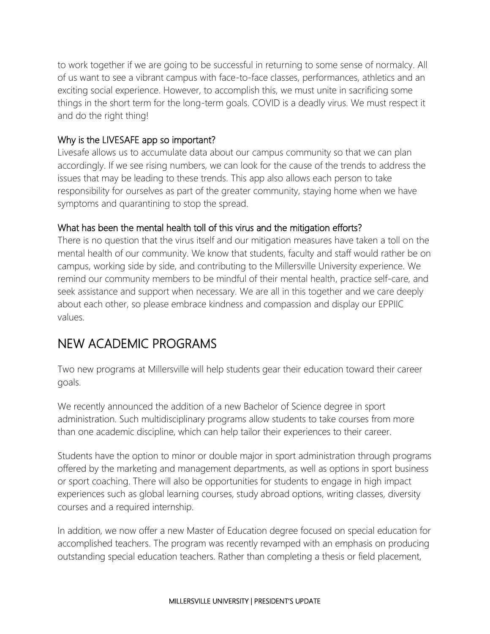to work together if we are going to be successful in returning to some sense of normalcy. All of us want to see a vibrant campus with face-to-face classes, performances, athletics and an exciting social experience. However, to accomplish this, we must unite in sacrificing some things in the short term for the long-term goals. COVID is a deadly virus. We must respect it and do the right thing!

#### Why is the LIVESAFE app so important?

Livesafe allows us to accumulate data about our campus community so that we can plan accordingly. If we see rising numbers, we can look for the cause of the trends to address the issues that may be leading to these trends. This app also allows each person to take responsibility for ourselves as part of the greater community, staying home when we have symptoms and quarantining to stop the spread.

#### What has been the mental health toll of this virus and the mitigation efforts?

There is no question that the virus itself and our mitigation measures have taken a toll on the mental health of our community. We know that students, faculty and staff would rather be on campus, working side by side, and contributing to the Millersville University experience. We remind our community members to be mindful of their mental health, practice self-care, and seek assistance and support when necessary. We are all in this together and we care deeply about each other, so please embrace kindness and compassion and display our EPPIIC values.

# NEW ACADEMIC PROGRAMS

Two new programs at Millersville will help students gear their education toward their career goals.

We recently announced the addition of a new Bachelor of Science degree in sport administration. Such multidisciplinary programs allow students to take courses from more than one academic discipline, which can help tailor their experiences to their career.

Students have the option to minor or double major in sport administration through programs offered by the marketing and management departments, as well as options in sport business or sport coaching. There will also be opportunities for students to engage in high impact experiences such as global learning courses, study abroad options, writing classes, diversity courses and a required internship.

In addition, we now offer a new Master of Education degree focused on special education for accomplished teachers. The program was recently revamped with an emphasis on producing outstanding special education teachers. Rather than completing a thesis or field placement,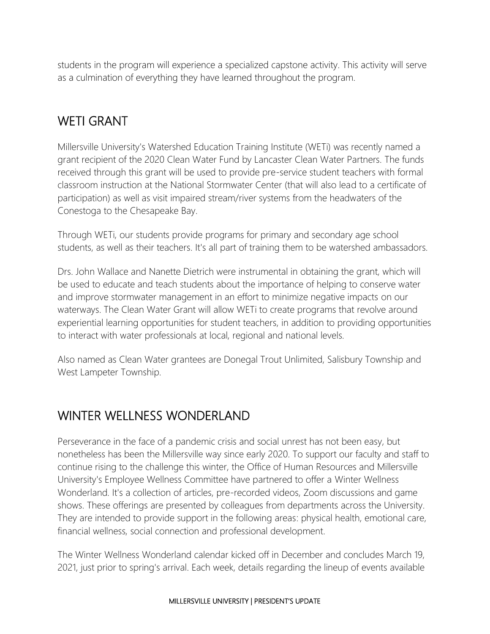students in the program will experience a specialized capstone activity. This activity will serve as a culmination of everything they have learned throughout the program.

# WETI GRANT

Millersville University's Watershed Education Training Institute (WETi) was recently named a grant recipient of the 2020 Clean Water Fund by Lancaster Clean Water Partners. The funds received through this grant will be used to provide pre-service student teachers with formal classroom instruction at the National Stormwater Center (that will also lead to a certificate of participation) as well as visit impaired stream/river systems from the headwaters of the Conestoga to the Chesapeake Bay.

Through WETi, our students provide programs for primary and secondary age school students, as well as their teachers. It's all part of training them to be watershed ambassadors.

Drs. John Wallace and Nanette Dietrich were instrumental in obtaining the grant, which will be used to educate and teach students about the importance of helping to conserve water and improve stormwater management in an effort to minimize negative impacts on our waterways. The Clean Water Grant will allow WETi to create programs that revolve around experiential learning opportunities for student teachers, in addition to providing opportunities to interact with water professionals at local, regional and national levels.

Also named as Clean Water grantees are Donegal Trout Unlimited, Salisbury Township and West Lampeter Township.

# WINTER WELLNESS WONDERLAND

Perseverance in the face of a pandemic crisis and social unrest has not been easy, but nonetheless has been the Millersville way since early 2020. To support our faculty and staff to continue rising to the challenge this winter, the Office of Human Resources and Millersville University's Employee Wellness Committee have partnered to offer a Winter Wellness Wonderland. It's a collection of articles, pre-recorded videos, Zoom discussions and game shows. These offerings are presented by colleagues from departments across the University. They are intended to provide support in the following areas: physical health, emotional care, financial wellness, social connection and professional development.

The Winter Wellness Wonderland calendar kicked off in December and concludes March 19, 2021, just prior to spring's arrival. Each week, details regarding the lineup of events available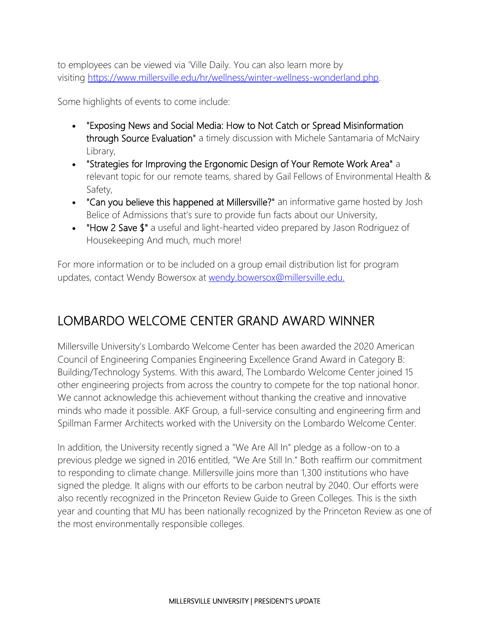to employees can be viewed via 'Ville Daily. You can also learn more by visiting [https://www.millersville.edu/hr/wellness/winter-wellness-wonderland.php.](https://www.millersville.edu/hr/wellness/winter-wellness-wonderland.php)

Some highlights of events to come include:

- "Exposing News and Social Media: How to Not Catch or Spread Misinformation through Source Evaluation" a timely discussion with Michele Santamaria of McNairy Library,
- "Strategies for Improving the Ergonomic Design of Your Remote Work Area" a relevant topic for our remote teams, shared by Gail Fellows of Environmental Health & Safety,
- "Can you believe this happened at Millersville?" an informative game hosted by Josh Belice of Admissions that's sure to provide fun facts about our University,
- "How 2 Save \$" a useful and light-hearted video prepared by Jason Rodriguez of Housekeeping And much, much more!

For more information or to be included on a group email distribution list for program updates, contact Wendy Bowersox at [wendy.bowersox@millersville.edu.](mailto:wendy.bowersox@millersville.edu)

# LOMBARDO WELCOME CENTER GRAND AWARD WINNER

Millersville University's Lombardo Welcome Center has been awarded the 2020 American Council of Engineering Companies Engineering Excellence Grand Award in Category B: Building/Technology Systems. With this award, The Lombardo Welcome Center joined 15 other engineering projects from across the country to compete for the top national honor. We cannot acknowledge this achievement without thanking the creative and innovative minds who made it possible. AKF Group, a full-service consulting and engineering firm and Spillman Farmer Architects worked with the University on the Lombardo Welcome Center.

In addition, the University recently signed a "We Are All In" pledge as a follow-on to a previous pledge we signed in 2016 entitled, "We Are Still In." Both reaffirm our commitment to responding to climate change. Millersville joins more than 1,300 institutions who have signed the pledge. It aligns with our efforts to be carbon neutral by 2040. Our efforts were also recently recognized in the Princeton Review Guide to Green Colleges. This is the sixth year and counting that MU has been nationally recognized by the Princeton Review as one of the most environmentally responsible colleges.